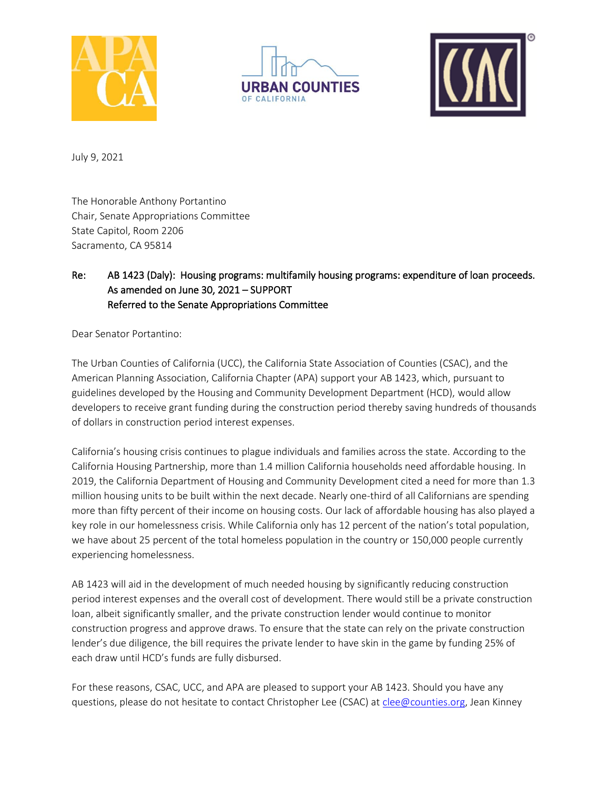





July 9, 2021

The Honorable Anthony Portantino Chair, Senate Appropriations Committee State Capitol, Room 2206 Sacramento, CA 95814

## Re: AB 1423 (Daly): Housing programs: multifamily housing programs: expenditure of loan proceeds. As amended on June 30, 2021 – SUPPORT Referred to the Senate Appropriations Committee

Dear Senator Portantino:

The Urban Counties of California (UCC), the California State Association of Counties (CSAC), and the American Planning Association, California Chapter (APA) support your AB 1423, which, pursuant to guidelines developed by the Housing and Community Development Department (HCD), would allow developers to receive grant funding during the construction period thereby saving hundreds of thousands of dollars in construction period interest expenses.

California's housing crisis continues to plague individuals and families across the state. According to the California Housing Partnership, more than 1.4 million California households need affordable housing. In 2019, the California Department of Housing and Community Development cited a need for more than 1.3 million housing units to be built within the next decade. Nearly one-third of all Californians are spending more than fifty percent of their income on housing costs. Our lack of affordable housing has also played a key role in our homelessness crisis. While California only has 12 percent of the nation's total population, we have about 25 percent of the total homeless population in the country or 150,000 people currently experiencing homelessness.

AB 1423 will aid in the development of much needed housing by significantly reducing construction period interest expenses and the overall cost of development. There would still be a private construction loan, albeit significantly smaller, and the private construction lender would continue to monitor construction progress and approve draws. To ensure that the state can rely on the private construction lender's due diligence, the bill requires the private lender to have skin in the game by funding 25% of each draw until HCD's funds are fully disbursed.

For these reasons, CSAC, UCC, and APA are pleased to support your AB 1423. Should you have any questions, please do not hesitate to contact Christopher Lee (CSAC) at [clee@counties.org,](mailto:clee@counties.org) Jean Kinney